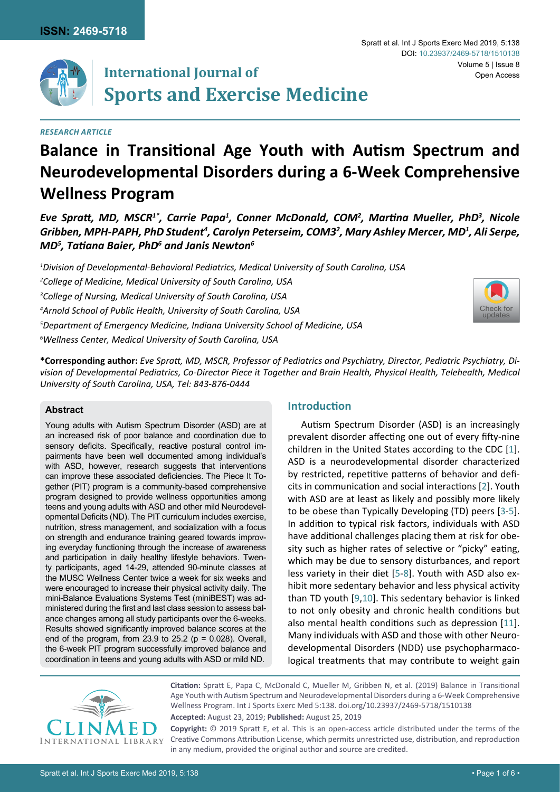

# **International Journal of Sports and Exercise Medicine**

## *Research Article*

# **Balance in Transitional Age Youth with Autism Spectrum and Neurodevelopmental Disorders during a 6-Week Comprehensive Wellness Program**

*Eve Spratt, MD, MSCR<sup>1\*</sup>, Carrie Papa<sup>1</sup>, Conner McDonald, COM<sup>2</sup>, Martina Mueller, PhD<sup>3</sup>, Nicole Gribben, MPH-PAPH, PhD Student<sup>4</sup> , Carolyn Peterseim, COM3<sup>2</sup> , Mary Ashley Mercer, MD<sup>1</sup> , Ali Serpe, MD<sup>5</sup> , Tatiana Baier, PhD<sup>6</sup> and Janis Newton<sup>6</sup>*

 *Division of Developmental-Behavioral Pediatrics, Medical University of South Carolina, USA College of Medicine, Medical University of South Carolina, USA College of Nursing, Medical University of South Carolina, USA Arnold School of Public Health, University of South Carolina, USA Department of Emergency Medicine, Indiana University School of Medicine, USA Wellness Center, Medical University of South Carolina, USA*



**\*Corresponding author:** *Eve Spratt, MD, MSCR, Professor of Pediatrics and Psychiatry, Director, Pediatric Psychiatry, Division of Developmental Pediatrics, Co-Director Piece it Together and Brain Health, Physical Health, Telehealth, Medical University of South Carolina, USA, Tel: 843-876-0444*

#### **Abstract**

Young adults with Autism Spectrum Disorder (ASD) are at an increased risk of poor balance and coordination due to sensory deficits. Specifically, reactive postural control impairments have been well documented among individual's with ASD, however, research suggests that interventions can improve these associated deficiencies. The Piece It Together (PIT) program is a community-based comprehensive program designed to provide wellness opportunities among teens and young adults with ASD and other mild Neurodevelopmental Deficits (ND). The PIT curriculum includes exercise, nutrition, stress management, and socialization with a focus on strength and endurance training geared towards improving everyday functioning through the increase of awareness and participation in daily healthy lifestyle behaviors. Twenty participants, aged 14-29, attended 90-minute classes at the MUSC Wellness Center twice a week for six weeks and were encouraged to increase their physical activity daily. The mini-Balance Evaluations Systems Test (miniBEST) was administered during the first and last class session to assess balance changes among all study participants over the 6-weeks. Results showed significantly improved balance scores at the end of the program, from 23.9 to 25.2 ( $p = 0.028$ ). Overall, the 6-week PIT program successfully improved balance and coordination in teens and young adults with ASD or mild ND.

# **Introduction**

Autism Spectrum Disorder (ASD) is an increasingly prevalent disorder affecting one out of every fifty-nine children in the United States according to the CDC [\[1\]](#page-3-0). ASD is a neurodevelopmental disorder characterized by restricted, repetitive patterns of behavior and deficits in communication and social interactions [\[2\]](#page-3-1). Youth with ASD are at least as likely and possibly more likely to be obese than Typically Developing (TD) peers [\[3-](#page-3-2)[5\]](#page-4-0). In addition to typical risk factors, individuals with ASD have additional challenges placing them at risk for obesity such as higher rates of selective or "picky" eating, which may be due to sensory disturbances, and report less variety in their diet [\[5-](#page-4-0)[8\]](#page-4-1). Youth with ASD also exhibit more sedentary behavior and less physical activity than TD youth [[9](#page-4-2)[,10](#page-4-3)]. This sedentary behavior is linked to not only obesity and chronic health conditions but also mental health conditions such as depression [\[11\]](#page-4-4). Many individuals with ASD and those with other Neurodevelopmental Disorders (NDD) use psychopharmacological treatments that may contribute to weight gain



**Citation:** Spratt E, Papa C, McDonald C, Mueller M, Gribben N, et al. (2019) Balance in Transitional Age Youth with Autism Spectrum and Neurodevelopmental Disorders during a 6-Week Comprehensive Wellness Program. Int J Sports Exerc Med 5:138. [doi.org/10.23937/2469-5718/1510138](https://doi.org/10.23937/2469-5718/1510138)

**Accepted:** August 23, 2019; **Published:** August 25, 2019

**Copyright:** © 2019 Spratt E, et al. This is an open-access article distributed under the terms of the Creative Commons Attribution License, which permits unrestricted use, distribution, and reproduction in any medium, provided the original author and source are credited.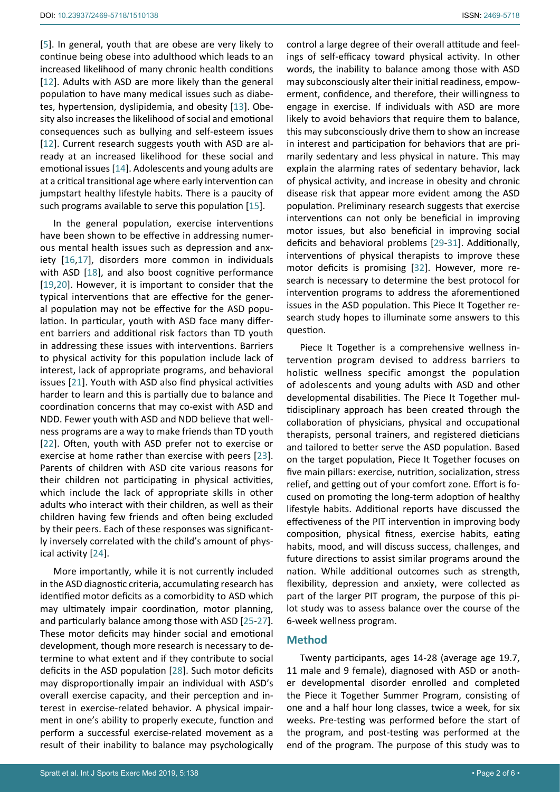[[5\]](#page-4-0). In general, youth that are obese are very likely to continue being obese into adulthood which leads to an increased likelihood of many chronic health conditions [[12](#page-4-8)]. Adults with ASD are more likely than the general population to have many medical issues such as diabetes, hypertension, dyslipidemia, and obesity [\[13](#page-4-9)]. Obesity also increases the likelihood of social and emotional consequences such as bullying and self-esteem issues [[12](#page-4-8)]. Current research suggests youth with ASD are already at an increased likelihood for these social and emotional issues [\[14\]](#page-4-10). Adolescents and young adults are at a critical transitional age where early intervention can jumpstart healthy lifestyle habits. There is a paucity of such programs available to serve this population [[15\]](#page-4-11).

In the general population, exercise interventions have been shown to be effective in addressing numerous mental health issues such as depression and anxiety [\[16,](#page-4-12)[17\]](#page-4-13), disorders more common in individuals with ASD [[18\]](#page-4-14), and also boost cognitive performance [[19](#page-4-15)[,20](#page-4-16)]. However, it is important to consider that the typical interventions that are effective for the general population may not be effective for the ASD population. In particular, youth with ASD face many different barriers and additional risk factors than TD youth in addressing these issues with interventions. Barriers to physical activity for this population include lack of interest, lack of appropriate programs, and behavioral issues [[21](#page-4-17)]. Youth with ASD also find physical activities harder to learn and this is partially due to balance and coordination concerns that may co-exist with ASD and NDD. Fewer youth with ASD and NDD believe that wellness programs are a way to make friends than TD youth [[22](#page-4-18)]. Often, youth with ASD prefer not to exercise or exercise at home rather than exercise with peers [\[23](#page-4-19)]. Parents of children with ASD cite various reasons for their children not participating in physical activities, which include the lack of appropriate skills in other adults who interact with their children, as well as their children having few friends and often being excluded by their peers. Each of these responses was significantly inversely correlated with the child's amount of physical activity [[24](#page-4-20)].

More importantly, while it is not currently included in the ASD diagnostic criteria, accumulating research has identified motor deficits as a comorbidity to ASD which may ultimately impair coordination, motor planning, and particularly balance among those with ASD [[25](#page-4-21)[-27\]](#page-4-22). These motor deficits may hinder social and emotional development, though more research is necessary to determine to what extent and if they contribute to social deficits in the ASD population [\[28](#page-4-23)]. Such motor deficits may disproportionally impair an individual with ASD's overall exercise capacity, and their perception and interest in exercise-related behavior. A physical impairment in one's ability to properly execute, function and perform a successful exercise-related movement as a result of their inability to balance may psychologically

control a large degree of their overall attitude and feelings of self-efficacy toward physical activity. In other words, the inability to balance among those with ASD may subconsciously alter their initial readiness, empowerment, confidence, and therefore, their willingness to engage in exercise. If individuals with ASD are more likely to avoid behaviors that require them to balance, this may subconsciously drive them to show an increase in interest and participation for behaviors that are primarily sedentary and less physical in nature. This may explain the alarming rates of sedentary behavior, lack of physical activity, and increase in obesity and chronic disease risk that appear more evident among the ASD population. Preliminary research suggests that exercise interventions can not only be beneficial in improving motor issues, but also beneficial in improving social deficits and behavioral problems [\[29](#page-4-5)-[31\]](#page-4-6). Additionally, interventions of physical therapists to improve these motor deficits is promising [\[32\]](#page-4-7). However, more research is necessary to determine the best protocol for intervention programs to address the aforementioned issues in the ASD population. This Piece It Together research study hopes to illuminate some answers to this question.

Piece It Together is a comprehensive wellness intervention program devised to address barriers to holistic wellness specific amongst the population of adolescents and young adults with ASD and other developmental disabilities. The Piece It Together multidisciplinary approach has been created through the collaboration of physicians, physical and occupational therapists, personal trainers, and registered dieticians and tailored to better serve the ASD population. Based on the target population, Piece It Together focuses on five main pillars: exercise, nutrition, socialization, stress relief, and getting out of your comfort zone. Effort is focused on promoting the long-term adoption of healthy lifestyle habits. Additional reports have discussed the effectiveness of the PIT intervention in improving body composition, physical fitness, exercise habits, eating habits, mood, and will discuss success, challenges, and future directions to assist similar programs around the nation. While additional outcomes such as strength, flexibility, depression and anxiety, were collected as part of the larger PIT program, the purpose of this pilot study was to assess balance over the course of the 6-week wellness program.

### **Method**

Twenty participants, ages 14-28 (average age 19.7, 11 male and 9 female), diagnosed with ASD or another developmental disorder enrolled and completed the Piece it Together Summer Program, consisting of one and a half hour long classes, twice a week, for six weeks. Pre-testing was performed before the start of the program, and post-testing was performed at the end of the program. The purpose of this study was to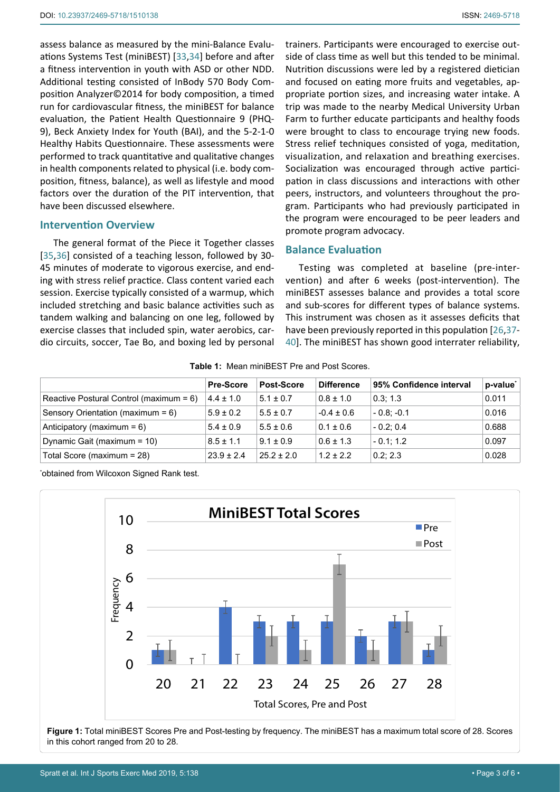assess balance as measured by the mini-Balance Evaluations Systems Test (miniBEST) [\[33](#page-4-26)[,34](#page-4-27)] before and after a fitness intervention in youth with ASD or other NDD. Additional testing consisted of InBody 570 Body Composition Analyzer©2014 for body composition, a timed run for cardiovascular fitness, the miniBEST for balance evaluation, the Patient Health Questionnaire 9 (PHQ-9), Beck Anxiety Index for Youth (BAI), and the 5-2-1-0 Healthy Habits Questionnaire. These assessments were performed to track quantitative and qualitative changes in health components related to physical (i.e. body composition, fitness, balance), as well as lifestyle and mood factors over the duration of the PIT intervention, that have been discussed elsewhere.

#### **Intervention Overview**

The general format of the Piece it Together classes [[35](#page-4-28),[36\]](#page-4-29) consisted of a teaching lesson, followed by 30-45 minutes of moderate to vigorous exercise, and ending with stress relief practice. Class content varied each session. Exercise typically consisted of a warmup, which included stretching and basic balance activities such as tandem walking and balancing on one leg, followed by exercise classes that included spin, water aerobics, cardio circuits, soccer, Tae Bo, and boxing led by personal trainers. Participants were encouraged to exercise outside of class time as well but this tended to be minimal. Nutrition discussions were led by a registered dietician and focused on eating more fruits and vegetables, appropriate portion sizes, and increasing water intake. A trip was made to the nearby Medical University Urban Farm to further educate participants and healthy foods were brought to class to encourage trying new foods. Stress relief techniques consisted of yoga, meditation, visualization, and relaxation and breathing exercises. Socialization was encouraged through active participation in class discussions and interactions with other peers, instructors, and volunteers throughout the program. Participants who had previously participated in the program were encouraged to be peer leaders and promote program advocacy.

### **Balance Evaluation**

Testing was completed at baseline (pre-intervention) and after 6 weeks (post-intervention). The miniBEST assesses balance and provides a total score and sub-scores for different types of balance systems. This instrument was chosen as it assesses deficits that have been previously reported in this population [\[26](#page-4-24)[,37](#page-4-25)- [40\]](#page-5-0). The miniBEST has shown good interrater reliability,

<span id="page-2-0"></span>

|                                            | <b>Pre-Score</b> | Post-Score    | <b>Difference</b> | 95% Confidence interval | p-value <sup>*</sup> |
|--------------------------------------------|------------------|---------------|-------------------|-------------------------|----------------------|
| Reactive Postural Control (maximum = $6$ ) | $4.4 \pm 1.0$    | $5.1 \pm 0.7$ | $0.8 \pm 1.0$     | 0.3:1.3                 | 0.011                |
| Sensory Orientation (maximum = 6)          | $5.9 \pm 0.2$    | $5.5 \pm 0.7$ | $-0.4 \pm 0.6$    | $-0.8: -0.1$            | 0.016                |
| Anticipatory (maximum = $6$ )              | $5.4 \pm 0.9$    | $5.5 \pm 0.6$ | $0.1 \pm 0.6$     | $-0.2:0.4$              | 0.688                |
| Dynamic Gait (maximum = 10)                | $8.5 \pm 1.1$    | $9.1 + 0.9$   | $0.6 \pm 1.3$     | $-0.1:1.2$              | 0.097                |
| Total Score (maximum = 28)                 | $23.9 \pm 2.4$   | $25.2 + 2.0$  | $1.2 + 2.2$       | 0.2:2.3                 | 0.028                |

\* obtained from Wilcoxon Signed Rank test.

<span id="page-2-1"></span>

**Figure 1:** Total miniBEST Scores Pre and Post-testing by frequency. The miniBEST has a maximum total score of 28. Scores in this cohort ranged from 20 to 28.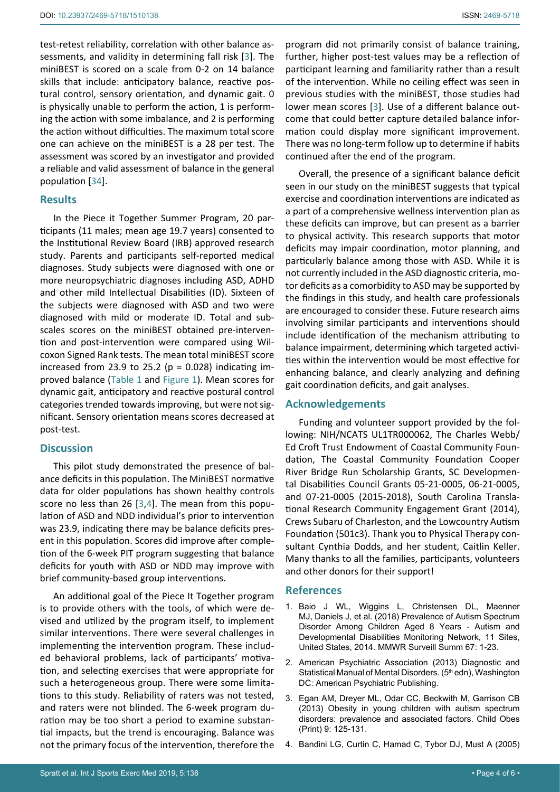test-retest reliability, correlation with other balance assessments, and validity in determining fall risk [[3\]](#page-3-2). The miniBEST is scored on a scale from 0-2 on 14 balance skills that include: anticipatory balance, reactive postural control, sensory orientation, and dynamic gait. 0 is physically unable to perform the action, 1 is performing the action with some imbalance, and 2 is performing the action without difficulties. The maximum total score one can achieve on the miniBEST is a 28 per test. The assessment was scored by an investigator and provided a reliable and valid assessment of balance in the general population [[34](#page-4-27)].

#### **Results**

In the Piece it Together Summer Program, 20 participants (11 males; mean age 19.7 years) consented to the Institutional Review Board (IRB) approved research study. Parents and participants self-reported medical diagnoses. Study subjects were diagnosed with one or more neuropsychiatric diagnoses including ASD, ADHD and other mild Intellectual Disabilities (ID). Sixteen of the subjects were diagnosed with ASD and two were diagnosed with mild or moderate ID. Total and subscales scores on the miniBEST obtained pre-intervention and post-intervention were compared using Wilcoxon Signed Rank tests. The mean total miniBEST score increased from 23.9 to 25.2 ( $p = 0.028$ ) indicating improved balance ([Table 1](#page-2-0) and [Figure 1\)](#page-2-1). Mean scores for dynamic gait, anticipatory and reactive postural control categories trended towards improving, but were not significant. Sensory orientation means scores decreased at post-test.

#### **Discussion**

This pilot study demonstrated the presence of balance deficits in this population. The MiniBEST normative data for older populations has shown healthy controls score no less than 26 [\[3](#page-3-2),[4](#page-3-3)]. The mean from this population of ASD and NDD individual's prior to intervention was 23.9, indicating there may be balance deficits present in this population. Scores did improve after completion of the 6-week PIT program suggesting that balance deficits for youth with ASD or NDD may improve with brief community-based group interventions.

An additional goal of the Piece It Together program is to provide others with the tools, of which were devised and utilized by the program itself, to implement similar interventions. There were several challenges in implementing the intervention program. These included behavioral problems, lack of participants' motivation, and selecting exercises that were appropriate for such a heterogeneous group. There were some limitations to this study. Reliability of raters was not tested, and raters were not blinded. The 6-week program duration may be too short a period to examine substantial impacts, but the trend is encouraging. Balance was not the primary focus of the intervention, therefore the

program did not primarily consist of balance training, further, higher post-test values may be a reflection of participant learning and familiarity rather than a result of the intervention. While no ceiling effect was seen in previous studies with the miniBEST, those studies had lower mean scores [[3](#page-3-2)]. Use of a different balance outcome that could better capture detailed balance information could display more significant improvement. There was no long-term follow up to determine if habits continued after the end of the program.

Overall, the presence of a significant balance deficit seen in our study on the miniBEST suggests that typical exercise and coordination interventions are indicated as a part of a comprehensive wellness intervention plan as these deficits can improve, but can present as a barrier to physical activity. This research supports that motor deficits may impair coordination, motor planning, and particularly balance among those with ASD. While it is not currently included in the ASD diagnostic criteria, motor deficits as a comorbidity to ASD may be supported by the findings in this study, and health care professionals are encouraged to consider these. Future research aims involving similar participants and interventions should include identification of the mechanism attributing to balance impairment, determining which targeted activities within the intervention would be most effective for enhancing balance, and clearly analyzing and defining gait coordination deficits, and gait analyses.

#### **Acknowledgements**

Funding and volunteer support provided by the following: NIH/NCATS UL1TR000062, The Charles Webb/ Ed Croft Trust Endowment of Coastal Community Foundation, The Coastal Community Foundation Cooper River Bridge Run Scholarship Grants, SC Developmental Disabilities Council Grants 05-21-0005, 06-21-0005, and 07-21-0005 (2015-2018), South Carolina Translational Research Community Engagement Grant (2014), Crews Subaru of Charleston, and the Lowcountry Autism Foundation (501c3). Thank you to Physical Therapy consultant Cynthia Dodds, and her student, Caitlin Keller. Many thanks to all the families, participants, volunteers and other donors for their support!

#### **References**

- <span id="page-3-0"></span>1. [Baio J WL, Wiggins L,](https://www.ncbi.nlm.nih.gov/pubmed/29701730) Christensen DL, Maenner MJ, Daniels [J, et al. \(2018\) Prevalence of Autism Spectrum](https://www.ncbi.nlm.nih.gov/pubmed/29701730)  [Disorder Among Children Aged 8 Years - Autism and](https://www.ncbi.nlm.nih.gov/pubmed/29701730)  [Developmental Disabilities Monitoring Network, 11 Sites,](https://www.ncbi.nlm.nih.gov/pubmed/29701730)  [United States, 2014. MMWR Surveill Summ 67: 1-23.](https://www.ncbi.nlm.nih.gov/pubmed/29701730)
- <span id="page-3-1"></span>2. [American Psychiatric Association \(2013\) Diagnostic and](https://www.psychiatry.org/psychiatrists/practice/dsm)  Statistical Manual of Mental Disorders. (5th edn), Washington [DC: American Psychiatric Publishing.](https://www.psychiatry.org/psychiatrists/practice/dsm)
- <span id="page-3-2"></span>3. [Egan AM, Dreyer ML, Odar CC, Beckwith M, Garrison CB](https://www.ncbi.nlm.nih.gov/pubmed/23485020)  [\(2013\) Obesity in young children with autism spectrum](https://www.ncbi.nlm.nih.gov/pubmed/23485020)  [disorders: prevalence and associated factors. Child Obes](https://www.ncbi.nlm.nih.gov/pubmed/23485020)  [\(Print\) 9: 125-131.](https://www.ncbi.nlm.nih.gov/pubmed/23485020)
- <span id="page-3-3"></span>4. [Bandini LG, Curtin C, Hamad C, Tybor DJ, Must A \(2005\)](https://www.ncbi.nlm.nih.gov/pubmed/15973309)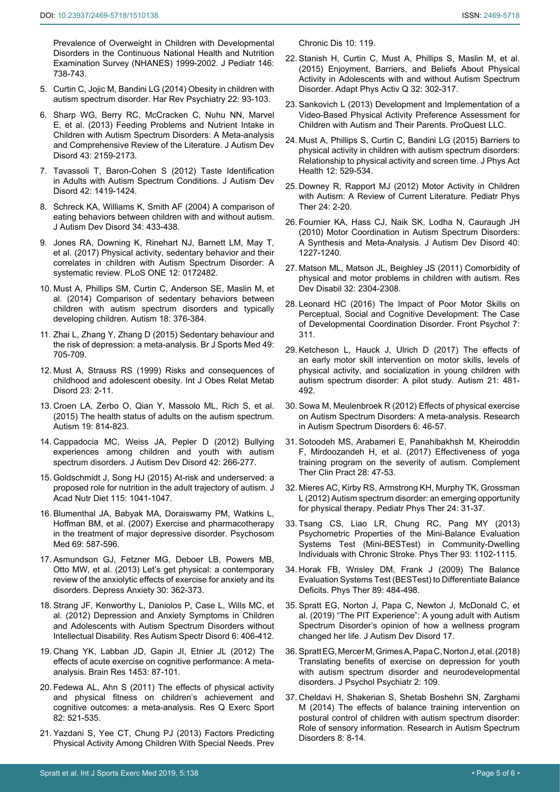[Prevalence of Overweight in Children with Developmental](https://www.ncbi.nlm.nih.gov/pubmed/15973309)  [Disorders in the Continuous National Health and Nutrition](https://www.ncbi.nlm.nih.gov/pubmed/15973309)  [Examination Survey \(NHANES\) 1999-2002. J Pediatr 146:](https://www.ncbi.nlm.nih.gov/pubmed/15973309)  [738-743.](https://www.ncbi.nlm.nih.gov/pubmed/15973309)

- <span id="page-4-0"></span>5. [Curtin C, Jojic M, Bandini LG \(2014\) Obesity in children with](https://www.ncbi.nlm.nih.gov/pmc/articles/PMC4105159/)  [autism spectrum disorder. Har Rev Psychiatry 22: 93-103.](https://www.ncbi.nlm.nih.gov/pmc/articles/PMC4105159/)
- 6. [Sharp WG, Berry RC, McCracken C, Nuhu NN, Marvel](https://www.ncbi.nlm.nih.gov/pubmed/23371510)  [E, et al. \(2013\) Feeding Problems and Nutrient Intake in](https://www.ncbi.nlm.nih.gov/pubmed/23371510)  [Children with Autism Spectrum Disorders: A Meta-analysis](https://www.ncbi.nlm.nih.gov/pubmed/23371510)  [and Comprehensive Review of the Literature. J Autism Dev](https://www.ncbi.nlm.nih.gov/pubmed/23371510)  [Disord 43: 2159-2173.](https://www.ncbi.nlm.nih.gov/pubmed/23371510)
- 7. [Tavassoli T, Baron-Cohen S \(2012\) Taste Identification](https://www.ncbi.nlm.nih.gov/pubmed/22006402)  [in Adults with Autism Spectrum Conditions. J Autism Dev](https://www.ncbi.nlm.nih.gov/pubmed/22006402)  [Disord 42: 1419-1424.](https://www.ncbi.nlm.nih.gov/pubmed/22006402)
- <span id="page-4-1"></span>8. [Schreck KA, Williams K, Smith AF \(2004\) A comparison of](https://www.ncbi.nlm.nih.gov/pubmed/15449518)  [eating behaviors between children with and without autism.](https://www.ncbi.nlm.nih.gov/pubmed/15449518)  [J Autism Dev Disord 34: 433-438.](https://www.ncbi.nlm.nih.gov/pubmed/15449518)
- <span id="page-4-2"></span>9. [Jones RA, Downing K, Rinehart NJ, Barnett LM,](https://www.ncbi.nlm.nih.gov/pubmed/28245224) May T, [et al. \(2017\) Physical activity, sedentary behavior and their](https://www.ncbi.nlm.nih.gov/pubmed/28245224)  [correlates in children with Autism Spectrum Disorder: A](https://www.ncbi.nlm.nih.gov/pubmed/28245224)  [systematic review. PLoS ONE 12: 0172482.](https://www.ncbi.nlm.nih.gov/pubmed/28245224)
- <span id="page-4-3"></span>10. [Must A, Phillips SM, Curtin C, Anderson SE,](https://www.ncbi.nlm.nih.gov/pubmed/24113339) Maslin M, et [al. \(2014\) Comparison of sedentary behaviors between](https://www.ncbi.nlm.nih.gov/pubmed/24113339)  [children with autism spectrum disorders and typically](https://www.ncbi.nlm.nih.gov/pubmed/24113339)  [developing children. Autism 18: 376-384.](https://www.ncbi.nlm.nih.gov/pubmed/24113339)
- <span id="page-4-4"></span>11. [Zhai L, Zhang Y, Zhang D \(2015\) Sedentary behaviour and](https://www.ncbi.nlm.nih.gov/pubmed/25183627)  [the risk of depression: a meta-analysis. Br J Sports Med 49:](https://www.ncbi.nlm.nih.gov/pubmed/25183627)  [705-709.](https://www.ncbi.nlm.nih.gov/pubmed/25183627)
- <span id="page-4-8"></span>12. [Must A, Strauss RS \(1999\) Risks and consequences of](https://www.ncbi.nlm.nih.gov/pubmed/10340798)  [childhood and adolescent obesity. Int J Obes Relat Metab](https://www.ncbi.nlm.nih.gov/pubmed/10340798)  [Disord 23: 2-11.](https://www.ncbi.nlm.nih.gov/pubmed/10340798)
- <span id="page-4-9"></span>13. [Croen LA, Zerbo O, Qian Y, Massolo ML, Rich S, et al.](http://www.ncbi.nlm.nih.gov/pubmed/25911091)  [\(2015\) The health status of adults on the autism spectrum.](http://www.ncbi.nlm.nih.gov/pubmed/25911091)  [Autism 19: 814-823.](http://www.ncbi.nlm.nih.gov/pubmed/25911091)
- <span id="page-4-10"></span>14. [Cappadocia MC, Weiss JA, Pepler D \(2012\) Bullying](https://www.ncbi.nlm.nih.gov/pubmed/21499672)  [experiences among children and youth with autism](https://www.ncbi.nlm.nih.gov/pubmed/21499672)  [spectrum disorders. J Autism Dev Disord 42: 266-277.](https://www.ncbi.nlm.nih.gov/pubmed/21499672)
- <span id="page-4-11"></span>15. [Goldschmidt J, Song HJ \(2015\) At-risk and underserved: a](http://www.ncbi.nlm.nih.gov/pubmed/25840938)  [proposed role for nutrition in the adult trajectory of autism. J](http://www.ncbi.nlm.nih.gov/pubmed/25840938)  [Acad Nutr Diet 115: 1041-1047.](http://www.ncbi.nlm.nih.gov/pubmed/25840938)
- <span id="page-4-12"></span>16. [Blumenthal JA, Babyak MA, Doraiswamy PM, Watkins L,](https://www.ncbi.nlm.nih.gov/pubmed/17846259)  [Hoffman BM, et al. \(2007\) Exercise and pharmacotherapy](https://www.ncbi.nlm.nih.gov/pubmed/17846259)  [in the treatment of major depressive disorder. Psychosom](https://www.ncbi.nlm.nih.gov/pubmed/17846259)  [Med 69: 587-596.](https://www.ncbi.nlm.nih.gov/pubmed/17846259)
- <span id="page-4-13"></span>17. [Asmundson GJ, Fetzner MG, Deboer LB, Powers MB,](https://www.ncbi.nlm.nih.gov/pubmed/23300122)  [Otto MW, et al. \(2013\) Let's get physical: a contemporary](https://www.ncbi.nlm.nih.gov/pubmed/23300122)  [review of the anxiolytic effects of exercise for anxiety and its](https://www.ncbi.nlm.nih.gov/pubmed/23300122)  [disorders. Depress Anxiety 30: 362-373.](https://www.ncbi.nlm.nih.gov/pubmed/23300122)
- <span id="page-4-14"></span>18. [Strang JF, Kenworthy L, Daniolos P, Case L, Wills MC, et](http://www.ncbi.nlm.nih.gov/pubmed/22615713)  [al. \(2012\) Depression and Anxiety Symptoms in Children](http://www.ncbi.nlm.nih.gov/pubmed/22615713)  [and Adolescents with Autism Spectrum Disorders without](http://www.ncbi.nlm.nih.gov/pubmed/22615713)  [Intellectual Disability. Res Autism Spectr Disord 6: 406-412.](http://www.ncbi.nlm.nih.gov/pubmed/22615713)
- <span id="page-4-15"></span>19. [Chang YK, Labban JD, Gapin JI, Etnier JL \(2012\) The](https://www.ncbi.nlm.nih.gov/pubmed/22480735)  [effects of acute exercise on cognitive performance: A meta](https://www.ncbi.nlm.nih.gov/pubmed/22480735)[analysis. Brain Res 1453: 87-101.](https://www.ncbi.nlm.nih.gov/pubmed/22480735)
- <span id="page-4-16"></span>20. [Fedewa AL, Ahn S \(2011\) The effects of physical activity](https://www.ncbi.nlm.nih.gov/pubmed/21957711)  [and physical fitness on children's achievement and](https://www.ncbi.nlm.nih.gov/pubmed/21957711)  [cognitive outcomes: a meta-analysis. Res Q Exerc Sport](https://www.ncbi.nlm.nih.gov/pubmed/21957711)  [82: 521-535.](https://www.ncbi.nlm.nih.gov/pubmed/21957711)
- <span id="page-4-17"></span>21. [Yazdani S, Yee CT, Chung PJ \(2013\) Factors Predicting](https://www.ncbi.nlm.nih.gov/pubmed/23866163)  [Physical Activity Among Children With Special Needs. Prev](https://www.ncbi.nlm.nih.gov/pubmed/23866163)

<span id="page-4-18"></span>[Chronic Dis 10: 119.](https://www.ncbi.nlm.nih.gov/pubmed/23866163)

- 22. [Stanish H, Curtin C, Must A, Phillips S, Maslin M, et al.](https://www.ncbi.nlm.nih.gov/pubmed/26485735)  [\(2015\) Enjoyment, Barriers, and Beliefs About Physical](https://www.ncbi.nlm.nih.gov/pubmed/26485735)  [Activity in Adolescents with and without Autism Spectrum](https://www.ncbi.nlm.nih.gov/pubmed/26485735)  [Disorder. Adapt Phys Activ Q 32: 302-317.](https://www.ncbi.nlm.nih.gov/pubmed/26485735)
- <span id="page-4-19"></span>23. [Sankovich L \(2013\) Development and Implementation of a](https://eric.ed.gov/?id=ED559443)  [Video-Based Physical Activity Preference Assessment for](https://eric.ed.gov/?id=ED559443)  [Children with Autism and Their Parents. ProQuest LLC.](https://eric.ed.gov/?id=ED559443)
- <span id="page-4-20"></span>24. [Must A, Phillips S, Curtin C, Bandini LG \(2015\) Barriers to](https://www.ncbi.nlm.nih.gov/pubmed/25920014)  [physical activity in children with autism spectrum disorders:](https://www.ncbi.nlm.nih.gov/pubmed/25920014)  [Relationship to physical activity and screen time. J Phys Act](https://www.ncbi.nlm.nih.gov/pubmed/25920014)  [Health 12: 529-534.](https://www.ncbi.nlm.nih.gov/pubmed/25920014)
- <span id="page-4-21"></span>25. [Downey R, Rapport MJ \(2012\) Motor Activity in Children](https://www.ncbi.nlm.nih.gov/pubmed/22207460)  [with Autism: A Review of Current Literature. Pediatr Phys](https://www.ncbi.nlm.nih.gov/pubmed/22207460)  [Ther 24: 2-20.](https://www.ncbi.nlm.nih.gov/pubmed/22207460)
- <span id="page-4-24"></span>26. [Fournier KA, Hass CJ, Naik SK, Lodha N, Cauraugh JH](https://www.ncbi.nlm.nih.gov/pubmed/20195737)  [\(2010\) Motor Coordination in Autism Spectrum Disorders:](https://www.ncbi.nlm.nih.gov/pubmed/20195737)  [A Synthesis and Meta-Analysis. J Autism Dev Disord 40:](https://www.ncbi.nlm.nih.gov/pubmed/20195737)  [1227-1240.](https://www.ncbi.nlm.nih.gov/pubmed/20195737)
- <span id="page-4-22"></span>27. [Matson ML, Matson JL, Beighley JS \(2011\) Comorbidity of](https://www.ncbi.nlm.nih.gov/pubmed/21890317)  [physical and motor problems in children with autism. Res](https://www.ncbi.nlm.nih.gov/pubmed/21890317)  [Dev Disabil 32: 2304-2308.](https://www.ncbi.nlm.nih.gov/pubmed/21890317)
- <span id="page-4-23"></span>28. [Leonard HC \(2016\) The Impact of Poor Motor Skills on](https://www.ncbi.nlm.nih.gov/pmc/articles/PMC4779971/)  [Perceptual, Social and Cognitive Development: The Case](https://www.ncbi.nlm.nih.gov/pmc/articles/PMC4779971/)  [of Developmental Coordination Disorder. Front Psychol 7:](https://www.ncbi.nlm.nih.gov/pmc/articles/PMC4779971/)  [311.](https://www.ncbi.nlm.nih.gov/pmc/articles/PMC4779971/)
- <span id="page-4-5"></span>29. [Ketcheson L, Hauck J, Ulrich D \(2017\) The effects of](https://www.ncbi.nlm.nih.gov/pubmed/27354429)  [an early motor skill intervention on motor skills, levels of](https://www.ncbi.nlm.nih.gov/pubmed/27354429)  [physical activity, and socialization in young children with](https://www.ncbi.nlm.nih.gov/pubmed/27354429)  [autism spectrum disorder: A pilot study. Autism 21: 481-](https://www.ncbi.nlm.nih.gov/pubmed/27354429) [492.](https://www.ncbi.nlm.nih.gov/pubmed/27354429)
- 30. [Sowa M, Meulenbroek R \(2012\) Effects of physical exercise](https://www.sciencedirect.com/science/article/pii/S1750946711001516)  [on Autism Spectrum Disorders: A meta-analysis. Research](https://www.sciencedirect.com/science/article/pii/S1750946711001516)  [in Autism Spectrum Disorders 6: 46-57.](https://www.sciencedirect.com/science/article/pii/S1750946711001516)
- <span id="page-4-6"></span>31. [Sotoodeh MS, Arabameri E, Panahibakhsh M, Kheiroddin](https://www.ncbi.nlm.nih.gov/pubmed/28779937)  [F, Mirdoozandeh H, et al. \(2017\) Effectiveness of yoga](https://www.ncbi.nlm.nih.gov/pubmed/28779937)  [training program on the severity of autism. Complement](https://www.ncbi.nlm.nih.gov/pubmed/28779937)  [Ther Clin Pract 28: 47-53.](https://www.ncbi.nlm.nih.gov/pubmed/28779937)
- <span id="page-4-7"></span>32. [Mieres AC, Kirby RS, Armstrong KH, Murphy TK, Grossman](https://www.ncbi.nlm.nih.gov/pubmed/22207463)  [L \(2012\) Autism spectrum disorder: an emerging opportunity](https://www.ncbi.nlm.nih.gov/pubmed/22207463)  [for physical therapy. Pediatr Phys Ther 24: 31-37.](https://www.ncbi.nlm.nih.gov/pubmed/22207463)
- <span id="page-4-26"></span>33. [Tsang CS, Liao LR, Chung RC, Pang MY \(2013\)](https://www.ncbi.nlm.nih.gov/pubmed/23559522)  [Psychometric Properties of the Mini-Balance Evaluation](https://www.ncbi.nlm.nih.gov/pubmed/23559522)  [Systems Test \(Mini-BESTest\) in Community-Dwelling](https://www.ncbi.nlm.nih.gov/pubmed/23559522)  [Individuals with Chronic Stroke. Phys Ther 93: 1102-1115.](https://www.ncbi.nlm.nih.gov/pubmed/23559522)
- <span id="page-4-27"></span>34. [Horak FB, Wrisley DM, Frank J \(2009\) The Balance](https://www.ncbi.nlm.nih.gov/pubmed/19329772)  [Evaluation Systems Test \(BESTest\) to Differentiate Balance](https://www.ncbi.nlm.nih.gov/pubmed/19329772)  [Deficits. Phys Ther 89: 484-498.](https://www.ncbi.nlm.nih.gov/pubmed/19329772)
- <span id="page-4-28"></span>35. [Spratt EG, Norton J, Papa C, Newton J, McDonald C, et](https://www.ncbi.nlm.nih.gov/pubmed/31209742)  [al. \(2019\) "The PIT Experience": A young adult with Autism](https://www.ncbi.nlm.nih.gov/pubmed/31209742)  [Spectrum Disorder's opinion of how a wellness program](https://www.ncbi.nlm.nih.gov/pubmed/31209742)  [changed her life. J Autism Dev Disord 17.](https://www.ncbi.nlm.nih.gov/pubmed/31209742)
- <span id="page-4-29"></span>36. [Spratt EG, Mercer M, Grimes A, Papa C, Norton J, et al. \(2018\)](https://www.ncbi.nlm.nih.gov/pmc/articles/PMC6602550/)  [Translating benefits of exercise on depression for youth](https://www.ncbi.nlm.nih.gov/pmc/articles/PMC6602550/)  [with autism spectrum disorder and neurodevelopmental](https://www.ncbi.nlm.nih.gov/pmc/articles/PMC6602550/)  [disorders. J Psychol Psychiatr 2: 109.](https://www.ncbi.nlm.nih.gov/pmc/articles/PMC6602550/)
- <span id="page-4-25"></span>37. [Cheldavi H, Shakerian S, Shetab Boshehri SN, Zarghami](https://www.sciencedirect.com/science/article/pii/S1750946713001967)  [M \(2014\) The effects of balance training intervention on](https://www.sciencedirect.com/science/article/pii/S1750946713001967)  [postural control of children with autism spectrum disorder:](https://www.sciencedirect.com/science/article/pii/S1750946713001967)  [Role of sensory information. Research in Autism Spectrum](https://www.sciencedirect.com/science/article/pii/S1750946713001967)  [Disorders 8: 8-14.](https://www.sciencedirect.com/science/article/pii/S1750946713001967)